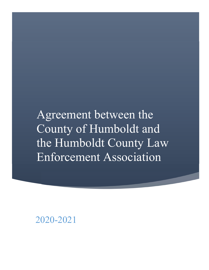Agreement between the County of Humboldt and the Humboldt County Law Enforcement Association

# 2020-2021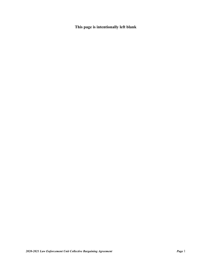**This page is intentionally left blank**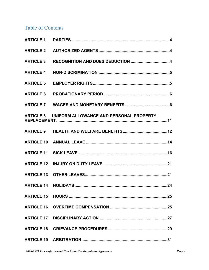# Table of Contents

| <b>ARTICLE 3</b> | RECOGNITION AND DUES DEDUCTION 4        |
|------------------|-----------------------------------------|
| <b>ARTICLE 4</b> |                                         |
|                  |                                         |
|                  |                                         |
|                  |                                         |
| <b>ARTICLE 8</b> | UNIFORM ALLOWANCE AND PERSONAL PROPERTY |
|                  |                                         |
|                  |                                         |
|                  |                                         |
|                  |                                         |
|                  |                                         |
|                  |                                         |
|                  |                                         |
|                  |                                         |
|                  |                                         |
|                  |                                         |
|                  |                                         |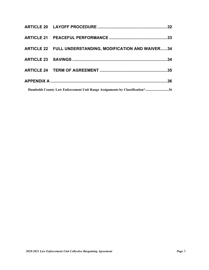|                                                                             | ARTICLE 22 FULL UNDERSTANDING, MODIFICATION AND WAIVER34 |  |  |
|-----------------------------------------------------------------------------|----------------------------------------------------------|--|--|
|                                                                             |                                                          |  |  |
|                                                                             |                                                          |  |  |
|                                                                             |                                                          |  |  |
| Humboldt County Law Enforcement Unit Range Assignments by Classification*36 |                                                          |  |  |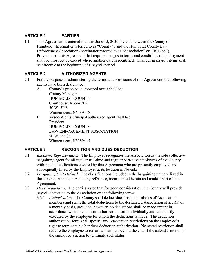#### **ARTICLE 1 PARTIES**

1.1 This Agreement is entered into this June 15, 2020, by and between the County of Humboldt (hereinafter referred to as "County"), and the Humboldt County Law Enforcement Association (hereinafter referred to as "Association" or "HCLEA"). Provisions of this Agreement that require changes in terms and conditions of employment shall be prospective except where another date is identified. Changes in payroll items shall be effective at the beginning of a payroll period.

#### **ARTICLE 2 AUTHORIZED AGENTS**

- 2.1 For the purpose of administering the terms and provisions of this Agreement, the following agents have been designated:
	- A. County's principal authorized agent shall be: County Manager HUMBOLDT COUNTY Courthouse, Room 205 50 W.  $5^{th}$  St. Winnemucca, NV 89445
	- B. Association's principal authorized agent shall be: President HUMBOLDT COUNTY LAW ENFORCEMENT ASSOCIATION 50 W. 5th St. Winnemucca, NV 89445

#### **ARTICLE 3 RECOGNITION AND DUES DEDUCTION**

- 3.1 *Exclusive Representation*. The Employer recognizes the Association as the sole collective bargaining agent for all regular full-time and regular part-time employees of the County within job classifications covered by this Agreement who are presently employed and subsequently hired by the Employer at its location in Nevada.
- 3.2 *Bargaining Unit Defined*. The classifications included in the bargaining unit are listed in the attached Appendix A and, by reference, incorporated herein and made a part of this Agreement.
- 3.3 *Dues Deductions*. The parties agree that for good consideration, the County will provide payroll deduction to the Association on the following terms:
	- 3.3.1 *Authorization.* The County shall deduct dues from the salaries of Association members and remit the total deductions to the designated Association officer(s) on a monthly basis, provided, however, no deductions shall be made except in accordance with a deduction authorization form individually and voluntarily executed by the employee for whom the deductions is made. The deduction authorization form shall specify any Association restrictions on the employee's right to terminate his/her dues deduction authorization. No stated restriction shall require the employee to remain a member beyond the end of the calendar month of the employee's action to terminate such status.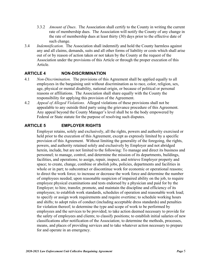- 3.3.2 *Amount of Dues*. The Association shall certify to the County in writing the current rate of membership dues. The Association will notify the County of any change in the rate of membership dues at least thirty (30) days prior to the effective date of such change.
- 3.4 *Indemnification.* The Association shall indemnify and hold the County harmless against any and all claims, demands, suits and all other forms of liability or costs which shall arise out of or by reason of action taken or not taken by the County at the request of the Association under the provisions of this Article or through the proper execution of this Article.

#### **ARTICLE 4 NON-DISCRIMINATION**

- 4.1 *Non-Discrimination.* The provisions of this Agreement shall be applied equally to all employees in the bargaining unit without discrimination as to race, color, religion, sex, age, physical or mental disability, national origin, or because of political or personal reasons or affiliations. The Association shall share equally with the County the responsibility for applying this provision of the Agreement.
- 4.2 *Appeal of Alleged Violations.* Alleged violations of these provisions shall not be appealable to any outside third party using the grievance procedure of this Agreement. Any appeal beyond the County Manager's level shall be to the body empowered by Federal or State statute for the purpose of resolving such disputes.

#### **ARTICLE 5 EMPLOYER RIGHTS**

Employer retains, solely and exclusively, all the rights, powers and authority exercised or held prior to the execution of this Agreement, except as expressly limited by a specific provision of this Agreement. Without limiting the generality of the foregoing, the rights, powers, and authority retained solely and exclusively by Employer and not abridged herein, include, but are not limited to the following: To manage and direct its business and personnel; to manage, control, and determine the mission of its departments, buildings, facilities, and operations; to assign, repair, inspect, and retrieve Employer property and space; to create, change, combine or abolish jobs, policies, departments and facilities in whole or in part; to subcontract or discontinue work for economic or operational reasons; to direct the work force; to increase or decrease the work force and determine the number of employees needed; upon reasonable suspicion of impaired ability on the job, to require employee physical examinations and tests endorsed by a physician and paid for by the Employer; to hire, transfer, promote, and maintain the discipline and efficiency of its employees; to establish work standards, schedules of operation and reasonable work load; to specify or assign work requirements and require overtime; to schedule working hours and shifts; to adopt rules of conduct (including acceptable dress standards) and penalties for violation thereof; to determine the type and scope of work to be performed by employees and the services to be provided; to take action deemed necessary to provide for the safety of employees and clients; to classify positions; to establish initial salaries of new classifications after notification of the Association; to determine the methods, processes, means, and places of providing services and to take whatever action necessary to prepare for and operate in an emergency.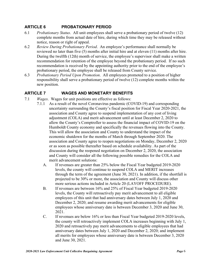#### **ARTICLE 6 PROBATIONARY PERIOD**

- 6.1 *Probationary Status*. All unit employees shall serve a probationary period of twelve (12) complete months from actual date of hire, during which time they may be released without notice, reason or right of appeal.
- 6.2 *Review During Probationary Period*. An employee's performance shall normally be reviewed no later than five (5) months after initial hire and at eleven (11) months after hire. During the twelfth (12th) month of service, the employee's supervisor shall make a written recommendation for retention of the employee beyond the probationary period. If no such recommendation is received by the appointing authority prior to the end of the employee's probationary period, the employee shall be released from County service.
- 6.3 *Probationary Period Upon Promotion*. All employees promoted to a position of higher responsibility shall serve a probationary period of twelve (12) complete months within the new position.

#### **ARTICLE 7 WAGES AND MONETARY BENEFITS**

- 7.1 *Wages*. Wages for unit positions are effective as follows:
	- 7.1.1 As a result of the novel Coronavirus pandemic (COVID-19) and corresponding uncertainty surrounding the County's fiscal position for Fiscal Year 2020-2021, the association and County agree to suspend implementation of any cost of living adjustment (COLA) and merit advancement until at least December 2, 2020 to allow the County's Comptroller to assess the financial impact of COVID-19 on the Humboldt County economy and specifically the revenues flowing into the County. This will allow the association and County to understand the impact of the economic shutdown for the months of March through September 2020. The association and County agree to reopen negotiations on Monday, December 2, 2020 or as soon as possible thereafter based on schedule availability. As part of the discussion during the reopened negotiation on December 2, 2020, the association and County will consider all the following possible remedies for the COLA and merit advancement solutions:
		- A. If revenues are greater than 25% below the Fiscal Year budgeted 2019-2020 levels, the county will continue to suspend COLA and MERIT increases through the term of the agreement (June 30, 2021). In addition, if the shortfall is projected to be 30% or more, the association and County will discuss other more serious actions included in Article 20 (LAYOFF PROCEDURE).
		- B. If revenues are between 16% and 25% of Fiscal Year budgeted 2019-2020 levels, the County will retroactively pay merit advancement to all eligible employees of this unit that had anniversary dates between July 1, 2020 and December 2, 2020; and resume awarding merit advancements for eligible employees whose anniversary date is between December 3, 2020 and June 30, 2021.
		- C. If revenues are below 16% or less than Fiscal Year budgeted 2019-2020 levels, the county will retroactively implement COLA increases beginning with July 1, 2020 and retroactively pay merit advancements to eligible employees that had anniversary dates between July 1, 2020 and December 2, 2020; and implement all merits for employees whose anniversary date is between December 3, 2020 and June 30, 2021.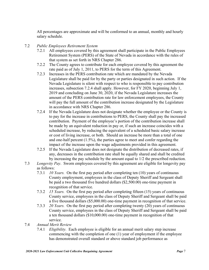All percentages are approximate and will be conformed to an annual, monthly and hourly salary schedule.

#### 7.2 *Public Employees Retirement System*

- 7.2.1 All employees covered by this agreement shall participate in the Public Employees Retirement System (PERS) of the State of Nevada in accordance with the rules of that system as set forth in NRS Chapter 286.
- 7.2.2 The County agrees to contribute for each employee covered by this agreement the rate paid as of July 1, 2011, to PERS for the term of this Agreement.
- 7.2.3 Increases in the PERS contribution rate which are mandated by the Nevada Legislature shall be paid for by the party or parties designated in such action. If the Nevada Legislature is silent with respect to who is responsible to pay contribution increases, subsection 7.2.4 shall apply. However, for FY 2020, beginning July 1, 2019 and concluding on June 30, 2020, if the Nevada Legislature increases the amount of the PERS contribution rate for law enforcement employees, the County will pay the full amount of the contribution increase designated by the Legislature in accordance with NRS Chapter 286.
- 7.2.4 If the Nevada Legislature does not designate whether the employee or the County is to pay for the increase in contributions to PERS, the County shall pay the increased contribution. Payment of the employee's portion of the contribution increase shall be made by an equivalent reduction in pay or, if such an increase coincides with a scheduled increase, by reducing the equivalent of a scheduled basic salary increase or cost of living increase, or both. Should an increase be more than a total of one and one-half percent (1.5%), the parties agree to meet and confer regarding the impact of the increase upon the wage adjustments provided in this agreement.
- 7.2.5 If the Nevada Legislature does not designate the distribution of decreased rates, if any, decreases in the contribution rate shall be equally shared and shall be credited by increasing the pay schedule by the amount equal to 1/2 the prescribed reduction.
- 7.3 *Longevity Pay*. Sworn employees covered by this agreement are eligible for longevity pay as follows:
	- 7.3.1 *10 Years.* On the first pay period after completing ten (10) years of continuous County employment, employees in the class of Deputy Sheriff and Sergeant shall be paid a two thousand five hundred dollars (\$2,500.00) one-time payment in recognition of that service.
	- 7.3.2 *15 Years.* On the first pay period after completing fifteen (15) years of continuous County service, employees in the class of Deputy Sheriff and Sergeant shall be paid a five thousand dollars (\$5,000.00) one-time payment in recognition of that service.
	- 7.3.3 *20 Years.* On the first pay period after completing twenty (20) years of continuous County service, employees in the class of Deputy Sheriff and Sergeant shall be paid a ten thousand dollars (\$10,000.00) one-time payment in recognition of that service.
- 7.4 *Annual Merit Review* 
	- 7.4.1 *Eligibility.* Each employee is eligible for an annual merit salary step increase commencing with the completion of one (1) year of employment if the employee has demonstrated overall standard or above standard job performance as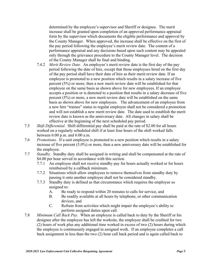determined by the employee's supervisor and Sheriff or designee. The merit increase shall be granted upon completion of an approved performance appraisal form by the supervisor which documents the eligible performance and approval by the County Manager. When approved, the increase shall be effective on the first of the pay period following the employee's merit review date. The content of a performance appraisal and any decisions based upon such content may be appealed only through the grievance procedure to the County Manager level. The decision of the County Manager shall be final and binding.

- 7.4.2 *Merit Review Date.* An employee's merit review date is the first day of the pay period following the date of hire, except that those employees hired on the first day of the pay period shall have their date of hire as their merit review date. If an employee is promoted to a new position which results in a salary increase of five percent (5%) or more, then a new merit review date will be established for that employee on the same basis as shown above for new employees. If an employee accepts a position or is demoted to a position that results in a salary decrease of five percent (5%) or more, a new merit review date will be established on the same basis as shown above for new employees. The advancement of an employee from a new hire "trainee" status to regular employee shall not be considered a promotion and will not establish a new merit review date. The date used to establish the merit review date is known as the anniversary date. All changes in salary shall be effective at the beginning of the next scheduled pay period.
- 7.5 *Shift Differential.* Shift differential pay shall be paid at the rate of \$2.00 for all hours worked on a regularly scheduled shift if at least four hours of the shift worked falls between 6:00 p.m. and 6:00 a.m.
- 7.6 *Promotions.* If a unit employee is promoted to a new position which results in a salary increase of five percent (5.0%) or more, then a new anniversary date will be established for the employee.
- 7.7 *Standby.* Standby duty shall be assigned in writing and shall be compensated at the rate of \$4.00 per hour served in accordance with this section.
	- 7.7.1 An employee shall not receive standby pay for hours actually worked or for hours reimbursed by a callback minimum.
	- 7.7.2 Situations which allow employees to remove themselves from standby duty by passing it onto another employee shall not be considered standby.
	- 7.7.3 Standby duty is defined as that circumstance which requires the employee so assigned to:
		- A. Be ready to respond within 20 minutes to calls for service, and
		- B. Be readily available at all hours by telephone, or other communication devices, and
		- C. Refrain from activities which might impair the employee's ability to perform assigned duties upon call.
- 7.8 *Minimum Call Back Pay.* When an employee is called back to duty by the Sheriff or his designee after the employee has left the worksite, the employee shall be credited for two (2) hours of work plus any additional time worked in excess of two (2) hours during which the employee is continuously engaged in assigned work. If an employee completes a call back assignment in less than the two (2) hour call back period and is again called back to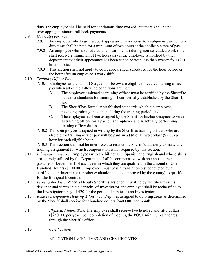duty, the employee shall be paid for continuous time worked, but there shall be no overlapping minimum call back payments.

- 7.9 *Court Appearance* 
	- 7.9.1 An employee who begins a court appearance in response to a subpoena during nonduty time shall be paid for a minimum of two hours at the applicable rate of pay.
	- 7.9.2 An employee who is scheduled to appear in court during non-scheduled work time shall receive a minimum of two hours pay if the employee is notified by their department that their appearance has been canceled with less than twenty-four (24) hours' notice.
	- 7.9.3 This section shall not apply to court appearances scheduled for the hour before or the hour after an employee's work shift.
- 7.10 *Training Officer Pay.* 
	- 7.10.1 Employees at the rank of Sergeant or below are eligible to receive training officer pay when all of the following conditions are met:
		- A. The employee assigned as training officer must be certified by the Sheriff to have met standards for training officer formally established by the Sheriff; and
		- B. The Sheriff has formally established standards which the employee receiving training must meet during the training period; and
		- C. The employee has been assigned by the Sheriff or his/her designee to serve as training officer for a particular employee and is actually performing training officer duties.
	- 7.10.2 Those employees assigned in writing by the Sheriff as training officers who are eligible for training officer pay will be paid an additional two dollars (\$2.00) per hour for each eligible hour.

7.10.3 This section shall not be interpreted to restrict the Sheriff's authority to make any training assignment for which compensation is not required by this section.

- 7.11 *Bilingual Incentive:* Employees who are bilingual in Spanish and English and whose skills are actively utilized by the Department shall be compensated with an annual stipend payable on December 1 of each year in which they are qualified in the amount of One Hundred Dollars (\$100.00). Employees must pass a translation test conducted by a certified court interpreter (or other evaluation method approved by the county) to qualify for the Bilingual Incentive.
- 7.12 *Investigator Pay:* When a Deputy Sheriff is assigned in writing by the Sheriff or his designee and serves in the capacity of Investigator, the employee shall be reclassified to the Investigator range of 420 for the period of service as an Investigator.
- 7.13 *Remote Assignment Housing Allowance*: Deputies assigned to outlying areas as determined by the Sheriff shall receive four hundred dollars (\$400.00) per month.
- 7.14 *Physical Fitness Test.* The employee shall receive two hundred and fifty dollars (\$250.00) per year upon completion of meeting the POST minimum standards through the Sheriff's office.
- 7.15 *Certifications.*

EDUCATION INCENTIVES AND CERTIFICATES: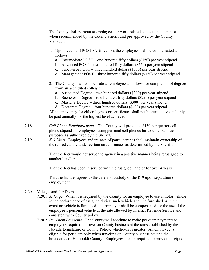The County shall reimburse employees for work related, educational expenses when recommended by the County Sheriff and pre-approved by the County Manager:

- 1. Upon receipt of POST Certification, the employee shall be compensated as follows:
	- a. Intermediate POST one hundred fifty dollars (\$150) per year stipend
	- b. Advanced POST two hundred fifty dollars (\$250) per year stipend
	- c. Supervisor POST three hundred dollars (\$300) per year stipend
	- d. Management POST three hundred fifty dollars (\$350) per year stipend
- 2. The County shall compensate an employee as follows for completion of degrees from an accredited college:
	- a. Associated Degree two hundred dollars (\$200) per year stipend
	- b. Bachelor's Degree two hundred fifty dollars (\$250) per year stipend
	- c. Master's Degree three hundred dollars (\$300) per year stipend
	- d. Doctorate Degree four hundred dollars (\$400) per year stipend

All incentive pay for either degrees or certificates shall not be cumulative and only be paid annually for the highest level achieved.

- 7.18 *Cell Phone Reimbursement.* The County will provide a \$150 per quarter cell phone stipend for employees using personal cell phones for County business purposes as authorized by the Sheriff.
- 7.19 *K-9 Units.* Employees and trainers of patrol canines shall maintain ownership of the retired canine under certain circumstances as determined by the Sheriff:

That the K-9 would not serve the agency in a positive manner being reassigned to another handler.

That the K-9 has been in service with the assigned handler for over 4 years

That the handler agrees to the care and custody of the K-9 upon separation of employment.

#### 7.20 Mileage and Per Diem

- 7.20.1 *Mileage.* When it is required by the County for an employee to use a motor vehicle in the performance of assigned duties, such vehicle shall be furnished or in the event no vehicle is furnished, the employee shall be compensated for the use of the employee's personal vehicle at the rate allowed by Internal Revenue Service and consistent with County policy.
	- 7.20.2 *Per Diem Payments.* The County will continue to make per diem payments to employees required to travel on County business at the rates established by the Nevada Legislature or County Policy, whichever is greater. An employee is eligible for per diem only when traveling on County business beyond the boundaries of Humboldt County. Employees are not required to provide receipts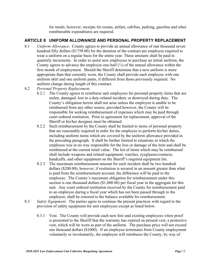for meals; however, receipts for rooms, airfare, cab/bus, parking, gasoline and other reimbursable expenditures are required.

#### **ARTICLE 8 UNIFORM ALLOWANCE AND PERSONAL PROPERTY REPLACEMENT**

- 8.1 *Uniform Allowance*. County agrees to provide an annual allowance of one thousand seven hundred fifty dollars (\$1750.00) for the duration of the contract per employee required to wear a uniform on a regular basis for the entire year. These amounts shall be paid in quarterly increments. In order to assist new employees to purchase an initial uniform, the County agrees to advance the employee one-half  $(\frac{1}{2})$  of the annual allowance within the first month of employment. Should the Sheriff determine that a new uniform is more appropriate than that currently worn, the County shall provide each employee with one uniform shirt and one uniform pants, if different from those previously required. No uniform change during length of this contract.
- 8.2 *Personal Property Replacement.*
	- 8.2.1 The County agrees to reimburse unit employees for personal property items that are stolen, damaged, lost in a duty-related incident, or destroyed during duty. The County's obligation herein shall not arise unless the employee is unable to be reimbursed from any other source, provided however, the County will be responsible for seeking reimbursement of expenses which may be paid through court ordered restitution. Prior to agreement for replacement, approval of the Sheriff or his/her designee must be obtained.
	- 8.2.2 Such reimbursement by the County shall be limited to items of personal property that are reasonably required in order for the employee to perform his/her duties, including uniform items which are covered by the uniform allowance provided in the preceding paragraph. It shall be further limited to situations in which the employee was in no way responsible for the loss or damage of the item and shall be reimbursed at the current retail value. The list of items which may be reimbursed shall include weapons and related equipment, watches, eyeglasses/contacts, handcuffs, and other equipment on the Sheriff's required equipment list.
	- 8.2.3 The maximum reimbursement amount for each incident shall be two hundred dollars (\$200.00); however, if restitution is secured in an amount greater than what is paid from the reimbursement account, the difference will be paid to the employee. The County's maximum obligation for reimbursement under this section is one thousand dollars (\$1,000.00) per fiscal year in the aggregate for this unit. Any court ordered restitution received by the County for reimbursement paid to an employee during a fiscal year which has not been passed through to the employee, shall be restored to the balance available for reimbursement.
- 8.3 *Safety Equipment*. The parties agree to continue the present practices with regard to the provision of safety equipment for unit employees except as listed below.
	- 8.3.1 Vest. The County will provide each new hire and existing employees when proof is presented to the Sheriff that the warranty has expired on present vest, a protective vest, which will be worn as part of the uniform. The purchase price will not exceed one thousand dollars (\$1000). If an employee terminates from County employment voluntarily or involuntarily, the employee will reimburse the County, by way of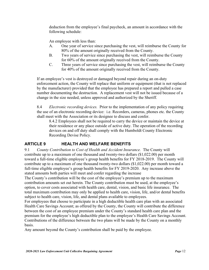deduction from the employee's final paycheck, an amount in accordance with the following schedule:

An employee with less than:

- A. One year of service since purchasing the vest, will reimburse the County for 80% of the amount originally received from the County.
- B. Two years of service since purchasing the vest, will reimburse the County for 60% of the amount originally received from the County.
- C. Three years of service since purchasing the vest, will reimburse the County for 40% of the amount originally received from the County.

If an employee's vest is destroyed or damaged beyond repair during an on-duty enforcement action, the County will replace that uniform or equipment (that is not replaced by the manufacturer) provided that the employee has prepared a report and pulled a case number documenting the destruction. A replacement vest will not be issued because of a change in the size needed, unless approved and authorized by the Sheriff.

 8.4 *Electronic recording devices.* Prior to the implementation of any policy requiring the use of an electronic recording device: i.e. Recorders, cameras, phones etc. the County shall meet with the Association or its designee to discuss and confer.

8.4.2 Employees shall not be required to carry the device or maintain the device at their residence or any place outside of active duty. The operation of the recording devices on and off duty shall comply with the Humboldt County Electronic Recording Devise Policy.

#### **ARTICLE 9 HEALTH AND WELFARE BENEFITS**

9.1 *County Contribution to Cost of Health and Accident Insurance.* The County will contribute up to a maximum of one thousand and twenty-two dollars (\$1,022.00) per month toward a full-time eligible employee's group health benefits for FY 2018-2019. The County will contribute up to a maximum of one thousand twenty-two dollars (\$1,022.00) per month toward a full-time eligible employee's group health benefits for FY 2019-2020. Any increase above the stated amounts both parties will meet and confer regarding the increase

The County's contribution will be the cost of the employee's premium up to the maximum contribution amounts set out herein. The County contribution must be used, at the employee's option, to cover costs associated with health care, dental, vision, and basic life insurance. The total maximum contribution may only be applied to health care, vision, life, and/or dental benefits subject to health care, vision, life, and dental plans available to employees.

For employees that choose to participate in a high deductible health care plan with an associated Health Care Savings Account; as offered by the County, the County will contribute the difference between the cost of an employee premium under the County's standard health care plan and the premium for the employee's high deductible plan to the employee's Health Care Savings Account. Contributions of the difference between the two plans will be made by the County on a monthly basis.

Any amount beyond the County's contribution shall be paid by the employee.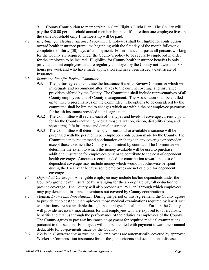9.1.1 County Contribution to membership in Care Flight's Flight Plan. The County will pay the \$30.00 per household annual membership rate. If more than one employee lives in the same household only 1 membership will be paid.

- 9.2 *Eligibility for Health Insurance Programs.* Employees shall be eligible for contribution toward health insurance premiums beginning with the first day of the month following completion of thirty (30) days of employment. For insurance purposes all persons working for the County are required under the County's policy to be regularly employed in order for the employee to be insured. Eligibility for County health insurance benefits is only provided to unit employees that are regularly employed by the County not fewer than 30 hours per week and who have made application and have been issued a Certificate of Insurance.
- 9.3 *Insurance Benefits Review Committee.*
	- 9.3.1 The parties agree to continue the Insurance Benefits Review Committee which will investigate and recommend alternatives to the current coverage and insurance providers offered by the County. The Committee shall include representatives of all County employees and of County management. The Association shall be entitled up to three representatives on the Committee. The options to be considered by the committee shall be limited to changes which are within the per employee payments for health insurance provided in this agreement.
	- 9.3.2 The Committee will review each of the types and levels of coverage currently paid for by the County including medical/hospitalization, vision, disability (long and short term), life insurance and dental insurance.
	- 9.3.3 The Committee will determine by consensus what available insurance will be purchased with the per month per employee contribution made by the County. The Committee may recommend continuation or change in any coverage or provider except those to which the County is committed by contract. The Committee will determine the extent to which the money available will be used to purchase additional insurance for employees only or to contribute to the cost of dependent health coverage. Amounts recommended for contribution toward the cost of dependent coverage may include money which would not otherwise be spent during the fiscal year because some employees are not eligible for dependent coverage.
- 9.4 *Dependent Coverage.* An eligible employee may include his/her dependents under the County's group health insurance by arranging for the appropriate payroll deduction to provide coverage. The County will also provide a "125 Plan" through which employees may pay dependent insurance premiums not covered by County contributions.
- 9.5 *Medical Exams and Inoculations.* During the period of this Agreement, the County agrees to provide at no cost to unit employees those medical examinations required by law if such examinations are not available through the employee's health plan. Further, the County will provide necessary inoculations for unit employees who are exposed to tuberculosis, hepatitis and tetanus through the performance of their duties as employees of the County. The County agrees to pay any insurance co-payment for required medical examinations pursuant to this section. Employees will not be credited with payment toward their annual deductible for co-payments made by the County.
- 9.6 *Workers' Compensation Insurance.* All employees are automatically covered by approved Worker's Compensation insurance for on-the-job accidents and occupational diseases.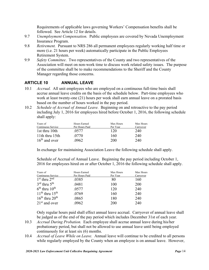Requirements of applicable laws governing Workers' Compensation benefits shall be followed. See Article 12 for details.

- 9.7 *Unemployment Compensation.* Public employees are covered by Nevada Unemployment Insurance Program.
- 9.8 *Retirement.* Pursuant to NRS 286 all permanent employees regularly working half time or more (i.e. 21 hours per week) automatically participate in the Public Employees Retirement System.
- 9.9 *Safety Committee*. Two representatives of the County and two representatives of the Association will meet on non-work time to discuss work related safety issues. The purpose of the committee shall be to make recommendations to the Sheriff and the County Manager regarding those concerns.

#### **ARTICLE 10 ANNUAL LEAVE**

- 10.1 *Accrual.* All unit employees who are employed on a continuous full-time basis shall accrue annual leave credits on the basis of the schedule below. Part-time employees who work at least twenty-one (21) hours per week shall earn annual leave on a prorated basis based on the number of hours worked in the pay period.
- 10.2 *Schedule of Accrual of Annual Leave.* Beginning on and retroactive to the pay period including July 1, 2016 for employees hired before October 1, 2016, the following schedule shall apply:

| Years of<br>Continuous Service | Hours Earned<br>Per Hours Paid | Max Hours<br>Per Year | Max Hours<br>Carryover |
|--------------------------------|--------------------------------|-----------------------|------------------------|
| 1st thru 10th                  | .0577                          | 120                   | 240                    |
| 11th thru 15th                 | .0770                          | 160                   | 240                    |
| $16th$ and over                | .0962                          | 200                   | 240                    |

In exchange for maintaining Association Leave the following schedule shall apply.

Schedule of Accrual of Annual Leave. Beginning the pay period including October 1, 2016 for employees hired on or after October 1, 2016 the following schedule shall apply.

| Years of                             | Hours Earned   | Max Hours | Max Hours |
|--------------------------------------|----------------|-----------|-----------|
| Continuous Service                   | Per Hours Paid | Per Year  | Carryover |
| $1st$ thru $2nd$                     | .0385          | 80        | 160       |
| $3^{\text{rd}}$ thru $5^{\text{th}}$ | .0481          | 100       | 200       |
| $6th$ thru $10th$                    | .0577          | 120       | 240       |
| $11th$ thru $15th$                   | .0769          | 160       | 240       |
| $16th$ thru $20th$                   | .0865          | 180       | 240       |
| $21st$ and over                      | .0962          | 200       | 240       |

Only regular hours paid shall effect annual leave accrual. Carryover of annual leave shall be judged as of the end of the pay period which includes December 31st of each year.

- 10.3 *Accrual During Probation.* Each employee shall accrue annual leave during his/her probationary period, but shall not be allowed to use annual leave until being employed continuously for at least six (6) months.
- 10.4 *Accrual of Leave While on Leave.* Annual leave will continue to be credited to all persons while regularly employed by the County when an employee is on annual leave. However,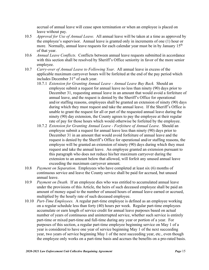accrual of annual leave will cease upon termination or when an employee is placed on leave without pay.

- 10.5 *Approval for Use of Annual Leave.* All annual leave will be taken at a time as approved by the employee's supervisor. Annual leave is granted only in increments of one (1) hour or more. Normally, annual leave requests for each calendar year must be in by January  $15<sup>th</sup>$ of that year.
- 10.6 *Annual Leave Conflicts.* Conflicts between annual leave requests submitted in accordance with this section shall be resolved by Sheriff's Office seniority in favor of the more senior employee.
- 10.7 *Carry-over of Annual Leave to Following Year.* All annual leave in excess of the applicable maximum carryover hours will be forfeited at the end of the pay period which includes December 31<sup>st</sup> of each year.
	- 10.7.1 *Extension for Granting Annual Leave Annual Leave Buy Back.* Should an employee submit a request for annual leave no less than ninety (90) days prior to December 31, requesting annual leave in an amount that would avoid a forfeiture of annual leave, and the request is denied by the Sheriff's Office for operational and/or staffing reasons, employees shall be granted an extension of ninety (90) days during which they must request and take the annual leave. If the Sheriff's Office is unable to grant the request for all or part of the requested annual leave during the ninety (90) day extension, the County agrees to pay the employee at their regular rate of pay for those hours which would otherwise be forfeited by the employee.
	- 10.7.2 *Extension for Granting Annual Leave Forfeiture of Annual Leave.* Should an employee submit a request for annual leave less than ninety (90) days prior to December 31 in an amount that would avoid forfeiture of annual leave and the request is denied by the Sheriff's Office for operational and/or staffing reasons, the employee will be granted an extension of ninety (90) days during which they must request and take the annual leave. An employee granted an extension pursuant to this paragraph who does not reduce his/her maximum carryover during the extension to an amount below that allowed, will forfeit any unused annual leave exceeding the maximum carryover amount.
- 10.8 *Payment on Separation.* Employees who have completed at least six (6) months of continuous service and leave the County service shall be paid for accrued, but unused annual leave.
- 10.9 *Payment on Death.* If an employee dies who was entitled to accumulated annual leave under the provisions of this Article, the heirs of such deceased employee shall be paid an amount of money equal to the number of unused hours of annual leave earned or accrued, multiplied by the hourly rate of such deceased employee.
- 10.10 *Part-Time Employees.* A regular part-time employee is defined as an employee working on a regular schedule less than forty (40) hours per week. Regular part-time employees accumulate or earn length of service credit for annual leave purposes based on actual number of years of continuous and uninterrupted service, whether such service is entirely part-time or mixed part-time and full-time during any year or portion of a year. For purposes of this section, a regular part-time employee beginning service on May 1 of a year is considered to have one year of service beginning May 1 of the next succeeding year, two years of service beginning May 1 of the next succeeding year, etc., even though the employee only works on a part-time basis and accrues the benefits on a pro-rated basis.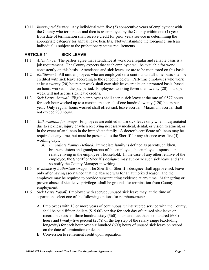10.11 *Interrupted Service.* Any individual with five (5) consecutive years of employment with the County who terminates and then is re-employed by the County within one (1) year from date of termination shall receive credit for prior years service in determining the appropriate category for annual leave benefits. Notwithstanding the foregoing, such an individual is subject to the probationary status requirements.

#### **ARTICLE 11 SICK LEAVE**

- 11.1 *Attendance*. The parties agree that attendance at work on a regular and reliable basis is a job requirement. The County expects that each employee will be available for work consistently on this basis. Attendance and sick leave use are to be monitored on this basis.
- 11.2 *Entitlement.* All unit employees who are employed on a continuous full-time basis shall be credited with sick leave according to the schedule below. Part-time employees who work at least twenty (20) hours per week shall earn sick leave credits on a prorated basis, based on hours worked in the pay period. Employees working fewer than twenty (20) hours per week will not accrue sick leave credits.
- 11.3 *Sick Leave Accrual.* Eligible employees shall accrue sick leave at the rate of .0577 hours for each hour worked up to a maximum accrual of one hundred twenty (120) hours per year. Only regular hours worked shall effect sick leave accrual. Maximum accrual shall not exceed 980 hours.
- 11.4 *Authorization for Usage.* Employees are entitled to use sick leave only when incapacitated due to sickness, injury or when receiving necessary medical, dental, or vision treatment, or in the event of an illness in the immediate family. A doctor's certificate of illness may be required at any time, but must be presented to the Sheriff for any absence over five (5) working days.
	- 11.4.1 *Immediate Family Defined.* Immediate family is defined as parents, children, brothers, sisters and grandparents of the employee, the employee's spouse, or relative living in the employee's household. In the case of any other relative of the employee, the Sheriff or Sheriff's designee may authorize such sick leave and shall so notify the County Manager in writing.
- 11.5 *Evidence of Authorized Usage.* The Sheriff or Sheriff's designee shall approve sick leave only after having ascertained that the absence was for an authorized reason, and the employee may be required to provide substantiating evidence at any time. Malingering or proven abuse of sick leave privileges shall be grounds for termination from County employment.
- 11.6 *Sick Leave Payoff.* Employee with accrued, unused sick leave may, at the time of separation, select one of the following options for reimbursement:
	- A. Employees with 10 or more years of continuous, uninterrupted service with the County, shall be paid fifteen dollars (\$15.00) per day for each day of unused sick leave on record in excess of three hundred sixty (360) hours and less than six hundred (600) hours and twenty-five percent (25%) of the top step of the salary range (excluding longevity) for each hour over six hundred (600) hours of unused sick leave on record on the date of termination or death.
	- B. Conversion to retirement credit upon separation: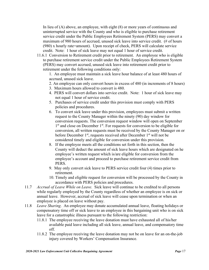In lieu of (A) above, an employee, with eight (8) or more years of continuous and uninterrupted service with the County and who is eligible to purchase retirement service credit under the Public Employees Retirement System (PERS) may convert a maximum of 980 hours of accrued, unused sick leave into service credit. (# of hours (980) x hourly rate=amount). Upon receipt of check, PERS will calculate service credit. Note: 1 hour of sick leave may not equal 1 hour of service credit.

11.6.1 Conversion to Retirement credit prior to retirement. An employee who is eligible to purchase retirement service credit under the Public Employees Retirement System (PERS) may convert accrued, unused sick leave into retirement credit prior to retirement under the following conditions only:

 1. An employee must maintain a sick leave hour balance of at least 480 hours of accrued, unused sick leave.

- 2. An employee can only convert hours in excess of 480 (in increments of 8 hours)
- 3. Maximum hours allowed to convert is 480.
- 4. PERS will convert dollars into service credit. Note: 1 hour of sick leave may not equal 1 hour of service credit.
- 5. Purchases of service credit under this provision must comply with PERS policies and procedures.
- 6. To convert sick leave under this provision, employees must submit a written request to the County Manager within the ninety (90) day window for conversion requests. The conversion request window will open on September  $1<sup>st</sup>$  and close on December  $1<sup>st</sup>$ . For requests for conversion to be eligible for conversion, all written requests must be received by the County Manager on or before December 1<sup>st</sup>, requests received after December 1<sup>st</sup> will not be considered timely and eligible for conversion under this provision.
- 8. If the employee meets all the conditions set forth in this section, then the County will deduct the amount of sick leave hours which are designated on he employee's written request which is/are eligible for conversion from the employee's account and proceed to purchase retirement service credit from PERS.
- 9. May only convert sick leave to PERS service credit four (4) times prior to retirement.
- 10. Timely and eligible request for conversion will be processed by the County in accordance with PERS policies and procedures.
- 11.7 *Accrual of Leave While on Leave.* Sick leave will continue to be credited to all persons while regularly employed by the County regardless of whether an employee is on sick or annual leave. However, accrual of sick leave will cease upon termination or when an employee is placed on leave without pay.
- 11.8 *Leave Sharing*. An employee may donate accumulated annual leave, floating holidays or compensatory time off or sick leave to an employee in this bargaining unit who is on sick leave for a catastrophic illness pursuant to the following restriction:
	- 11.8.1 The employee receiving the leave donation must have exhausted all of his/her available paid leave including all sick leave, annual leave, and compensatory time off.
	- 11.8.2 The employee receiving the leave donation may not be on leave for an on-the-job injury covered by Workers' Compensation Insurance.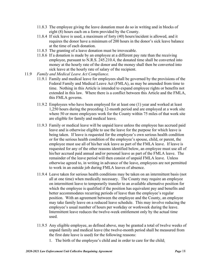- 11.8.3 The employee giving the leave donation must do so in writing and in blocks of eight (8) hours each on a form provided by the County.
- 11.8.4 If sick leave is used, a maximum of forty (40) hours/incident is allowed, and it requires the donor have a minimum of 200 hours in the donor's sick leave balance at the time of each donation.
- 11.8.5 The granting of a leave donation must be irrevocable.
- 11.8.6 If a donation is made by an employee at a different pay rate than the receiving employee, pursuant to N.R.S. 245.210.4, the donated time shall be converted into money at the hourly rate of the donor and the money shall then be converted into sick leave at the hourly rate of salary of the recipient.
- 11.9 *Family and Medical Leave Act Compliance.* 
	- 11.9.1 Family and medical leave for employees shall be governed by the provisions of the Federal Family and Medical Leave Act (FMLA), as may be amended from time to time. Nothing in this Article is intended to expand employee rights or benefits not extended in this law. Where there is a conflict between this Article and the FMLA, this FMLA governs.
	- 11.9.2 Employees who have been employed for at least one (1) year and worked at least 1,250 hours during the preceding 12-month period and are employed at a work site where 50 or more employees work for the County within 75 miles of that work site are eligible for family and medical leave.
	- 11.9.3 Family or medical leave will be unpaid leave unless the employee has accrued paid leave and is otherwise eligible to use the leave for the purpose for which leave is being taken. If leave is requested for the employee's own serious health condition or for the serious health condition of the employee's spouse, child, or parent, the employee must use all of his/her sick leave as part of the FMLA leave. If leave is requested for any of the other reasons identified below, an employee must use all of his/her accrued paid annual and/or personal leave as part of the FMLA leave. The remainder of the leave period will then consist of unpaid FMLA leave. Unless otherwise agreed to, in writing in advance of the leave, employees are not permitted to work in an outside job during FMLA leaves of absence.
	- 11.9.4 Leave taken for serious health conditions may be taken on an intermittent basis (not all at one time) when medically necessary. The County may require an employee on intermittent leave to temporarily transfer to an available alternative position for which the employee is qualified if the position has equivalent pay and benefits and better accommodates recurring periods of leave than the employee's regular position. With an agreement between the employee and the County, an employee may take family leave on a reduced leave schedule. This may involve reducing the employee's usual number of hours per workday or workweek during the leave. Intermittent leave reduces the twelve-week entitlement only by the actual time used.
	- 11.9.5 Any eligible employee, as defined above, may be granted a total of twelve weeks of unpaid family and medical leave (the twelve-month period shall be measured from the first date leave is used) for the following reasons:
		- 1. The birth of the employee's child and in order to care for the child;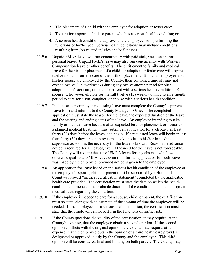- 2. The placement of a child with the employee for adoption or foster care;
- 3. To care for a spouse, child, or parent who has a serious health condition; or
- 4. A serious health condition that prevents the employee from performing the functions of his/her job. Serious health conditions may include conditions resulting from job-related injuries and/or illnesses.
- 11.9.6 Unpaid FMLA leave will run concurrently with paid sick, vacation and/or personal leave. Unpaid FMLA leave may also run concurrently with Workers' Compensation leave or other benefits. The entitlement to family and medical leave for the birth or placement of a child for adoption or foster care will expire twelve months from the date of the birth or placement. If both an employee and his/her spouse are employed by the County, their combined time off may not exceed twelve (12) workweeks during any twelve-month period for birth, adoption, or foster care, or care of a parent with a serious health condition. Each spouse is, however, eligible for the full twelve (12) weeks within a twelve-month period to care for a son, daughter, or spouse with a serious health condition.
- 11.9.7 In all cases, an employee requesting leave must complete the County's approved leave form and return it to the County Manager's Office. The completed application must state the reason for the leave, the expected duration of the leave, and the starting and ending dates of the leave. An employee intending to take family or medical leave because of an expected birth or placement, or because of a planned medical treatment, must submit an application for such leave at least thirty (30) days before the leave is to begin. If a requested leave will begin in less than thirty (30) days, the employee must give notice to his/her immediate supervisor as soon as the necessity for the leave is known. Reasonable advance notice is required for all leaves, even if the need for the leave is not foreseeable. The County will require the use of FMLA leave for any absence which would otherwise qualify as FMLA leave even if no formal application for such leave was made by the employee, provided notice is given to the employee.
- 11.9.8 An application for leave based on the serious health condition of the employee or the employee's spouse, child, or parent must be supported by a Humboldt County-approved "medical certification statement" completed by the applicable health care provider. The certification must state the date on which the health condition commenced, the probable duration of the condition, and the appropriate medical facts regarding the condition.
- 11.9.10 If the employee is needed to care for a spouse, child, or parent, the certification must so state, along with an estimate of the amount of time the employee will be needed. If the employee has a serious health condition, the certification must state that the employee cannot perform the functions of his/her job.
- 11.9.11 If the County questions the validity of the certification, it may require, at the County's expense, that the employee obtain a second opinion. If the second opinion conflicts with the original opinion, the County may require, at its expense, that the employee obtain the opinion of a third health care provider designated or approved jointly by the County and the employee. This third opinion will be considered final and binding on both parties. The County may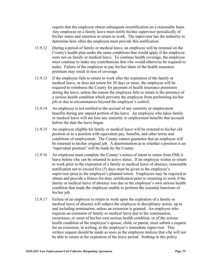require that the employee obtain subsequent recertification on a reasonable basis. Any employee on a family leave must notify his/her supervisor periodically of his/her status and intention to return to work. The supervisor has the authority to determine how often the employee must provide this notification.

- 11.9.12 During a period of family or medical leave, an employee will be retained on the County's health plan under the same conditions that would apply if the employee were not on family or medical leave. To continue health coverage, the employee must continue to make any contributions that s/he would otherwise be required to make. Failure of the employee to pay his/her share of the health insurance premium may result in loss of coverage.
- 11.9.13 If the employee fails to return to work after the expiration of the family or medical leave, or does not return for 30 days or more, the employee will be required to reimburse the County for payment of health insurance premiums during the leave, unless the reason the employee fails to return is the presence of a serious health condition which prevents the employee from performing his/her job or due to circumstances beyond the employee's control.
- 11.9.14 An employee is not entitled to the accrual of any seniority or employment benefits during any unpaid portion of the leave. An employee who takes family or medical leave will not lose any seniority or employment benefits that accrued before the date the leave began.
- 11.9.15 An employee eligible for family or medical leave will be restored to his/her old position or to a position with equivalent pay, benefits, and other terms and conditions of employment. The County cannot guarantee that an employee will be returned to his/her original job. A determination as to whether a position is an "equivalent position" will be made by the County.
- 11.9.16 An employee must complete the County's notice of intent to return from FMLA leave before s/he can be returned to active status. If an employee wishes to return to work prior to the expiration of a family or medical leave of absence, reasonable notification not to exceed five (5) days must be given to the employee's supervisor prior to the employee's planned return. Employees may be required to obtain and provide a fitness-for-duty certification prior to returning to work if the family or medical leave of absence was due to the employee's own serious health condition that made the employee unable to perform the essential functions of his/her job.
- 11.9.17 Failure of an employee to return to work upon the expiration of a family or medical leave of absence will subject the employee to disciplinary action, up to and including termination, unless an extension is granted. An employee who requests an extension of family or medical leave due to the continuation, recurrence, or onset of his/her own serious health condition, or of the serious health condition of the employee's spouse, child, or parent, must submit a request for an extension, in writing, to the employee's immediate supervisor. This written request should be made as soon as the employee realizes that s/he will not be able to return at the expiration of the leave period. Nothing in this policy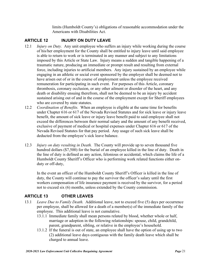limits (Humboldt County's) obligations of reasonable accommodation under the Americans with Disabilities Act.

#### **ARTICLE 12 INJURY ON DUTY LEAVE**

- 12.1 *Injury on Duty.* Any unit employee who suffers an injury while working during the course of his/her employment for the County shall be entitled to injury leave until said employee is able to return to work or is terminated in any manner and subject to any limitations imposed by this Article or State Law. Injury means a sudden and tangible happening of a traumatic nature, producing an immediate or prompt result and resulting from external force, including injuries to artificial members. Any injury sustained by an employee while engaging in an athletic or social event sponsored by the employer shall be deemed not to have arisen out of or in the course of employment unless the employee received remuneration for participating in such event. For purposes of this Article, coronary thrombosis, coronary occlusion, or any other ailment or disorder of the heart, and any death or disability ensuing therefrom, shall not be deemed to be an injury by accident sustained arising out of and in the course of the employment except for Sheriff employees who are covered by state statutes.
- 12.2 *Coordination of Benefits.* When an employee is eligible at the same time for benefits under Chapter 616 or 617 of the Nevada Revised Statutes and for sick leave or injury leave benefit, the amount of sick leave or injury leave benefit paid to said employee shall not exceed the differences between their normal salary and the amount of any benefit received, exclusive of payment of medical or hospital expenses under Chapter 616 or 617 of the Nevada Revised Statutes for that pay period. Any usage of such sick leave shall be deducted from the employee's sick leave balance.
- 12.3 *Injury on duty resulting in Death.* The County will provide up to seven thousand five hundred dollars (\$7,500) for the burial of an employee killed in the line of duty. Death in the line of duty is defined as any action, felonious or accidental, which claims the life of a Humboldt County Sheriff's Officer who is performing work related functions either onduty or off-duty,

 In the event an officer of the Humboldt County Sheriff's Officer is killed in the line of duty, the County will continue to pay the survivor the officer's salary until the first workers compensation of life insurance payment is received by the survivor, for a period not to exceed six (6) months, unless extended by the County commission.

#### **ARTICLE 13 OTHER LEAVES**

- 13.1 *Leave Due to Family Death.* Additional leave, not to exceed five (5) days per occurrence per employee, shall be allowed for a death of a member(s) of the immediate family of the employee. This additional leave is not cumulative.
	- 13.1.1 Immediate family shall mean persons related by blood, whether whole or half, marriage or adoption in the following relationships: spouse, child, grandchild, parent, grandparent, sibling, or relative in the employee's household.
	- 13.1.2 If the funeral is out of state, an employee shall have the option of using up to two (2) additional leave days contiguous with the family death leave which shall be charged to annual leave.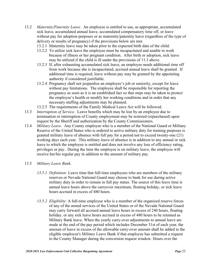- 13.2 *Maternity/Paternity Leave.* An employee is entitled to use, as appropriate, accumulated sick leave, accumulated annual leave, accumulated compensatory time off, or leave without pay for adoption purposes or as maternity/paternity leave (regardless of the type of delivery or results of pregnancy) if the provisions below are met.
	- 13.2.1 Maternity leave may be taken prior to the expected birth date of the child.
	- 13.2.2 To utilize sick leave the employee must be incapacitated and unable to work because of illness or her pregnant condition. After birth or adoption, sick leave may be utilized if the child is ill under the provisions of 11.3 above.
	- 13.2.3 If, after exhausting accumulated sick leave, an employee needs additional time off from work because she is incapacitated, accrued annual leave shall be granted. If additional time is required, leave without pay may be granted by the appointing authority if considered justifiable.
	- 13.2.4 Pregnancy shall not jeopardize an employee's job or seniority, except for leave without pay limitations. The employee shall be responsible for reporting the pregnancy as soon as it is an established fact so that steps may be taken to protect the employee's health or modify her working conditions and in order that any necessary staffing adjustments may be planned.
	- 13.2.5 The requirements of the Family Medical Leave Act will be followed.
- 13.3 *Interruption of Service.* Leave benefits which may be lost by an employee due to termination or interruption of County employment may be restored (repurchased) upon request by the Sheriff and authorization by the County Commissioners.
- 13.4 *Military Leave.* Any County employee who is a member of the National Guard or Military Reserve of the United States who is ordered to active military duty for training purposes is granted military leave of absence with full pay for a period not to exceed twenty-one (21) working days each year. This military leave of absence is in addition to any annual or sick leave to which the employee is entitled and does not involve any loss of efficiency rating, privileges or pay. During the time the employee is on military leave, the employee will receive her/his regular pay in addition to the amount of military pay.
- 13.5 *Military Leave Bank*.
	- *13.5.1 Definition:* Leave time that full-time employees who are members of the military reserves or Nevada National Guard may choose to bank for use during active military duty in order to remain in full pay status. The source of this leave time is annual leave hours above the carryover maximum, floating holiday, or sick leave hours accrued in excess of 480 hours.
	- *13.5.2 Eligibility*: A full-time employee who is a member of the organized reserve forces of any of the armed services of the United States or of the Nevada National Guard may carry forward all accrued annual leave hours in excess of 240 hours, floating holiday, or any sick leave hours accrued in excess of 480 hours to be retained as Military Bank leave. When the yearly carry-over adjustments to annual leave are made at the end of the pay period which includes December 31st of each year, the amount of leave in excess of the allowable carry-over amount shall be added to the eligible employee's Military Leave Bank if that employee has submitted a request to the County Manager during the conversion request window. Hours over the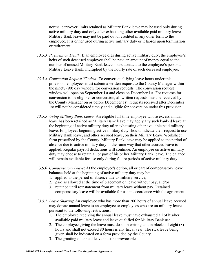normal carryover limits retained as Military Bank leave may be used only during active military duty and only after exhausting other available paid military leave. Military Bank leave may not be paid out or credited in any other form to the employee. It is either used during active military duty or it lapses upon termination or retirement.

- *13.5.3 Payment on Death*: If an employee dies during active military duty, the employee's heirs of such deceased employee shall be paid an amount of money equal to the number of unused Military Bank leave hours donated to the employee's personal Military Leave Bank, multiplied by the hourly rate of such deceased employee.
- *13.5.4 Conversion Request Window*: To convert qualifying leave hours under this provision, employees must submit a written request to the County Manager within the ninety (90) day window for conversion requests. The conversion request window will open on September 1st and close on December 1st. For requests for conversion to be eligible for conversion, all written requests must be received by the County Manager on or before December 1st, requests received after December 1st will not be considered timely and eligible for conversion under this provision.
- *13.5.5 Using Military Bank Leave*: An eligible full-time employee whose excess annual leave has been retained as Military Bank leave may apply any such banked leave at the beginning of active military duty after exhausting other available paid military leave. Employees beginning active military duty should indicate their request to use Military Bank leave, and other accrued leave, on their Military Leave Worksheet form prescribed by the County. Military Bank leave may be applied to the period of absence due to active military duty in the same way that other accrued leave is applied. Regular payroll deductions will continue. An employee on active military duty may choose to retain all or part of his or her Military Bank leave. The balance will remain available for use only during future periods of active military duty.
- 13.5.6 *Compensatory Leave*: At the employee's option, all or part of compensatory leave balances held at the beginning of active military duty may be:
	- 1. applied to the period of absence due to military service;
	- 2. paid as allowed at the time of placement on leave without pay; and/or
	- 3. retained until reinstatement from military leave without pay. Retained compensatory leave will be available for use in accordance with the agreement.
- *13.5.7 Leave Sharing*: An employee who has more than 200 hours of annual leave accrued may donate annual leave to an employee or employees who are on military leave pursuant to the following restrictions;
	- 1. The employee receiving the annual leave must have exhausted all of his/her available paid military leave and leave qualified for Military Bank use.
	- 2. The employee giving the leave must do so in writing and in blocks of eight (8) hours and shall not exceed 80 hours is any fiscal year. The sick leave being given shall be indicated on a form provided by the County.
	- 3. The granting of annual leave must be irrevocable.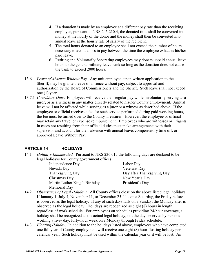- 4. If a donation is made by an employee at a different pay rate than the receiving employee, pursuant to NRS 245.210.4, the donated time shall be converted into money at the hourly of the donor and the money shall then be converted into annual leave at the hourly rate of salary of the recipient.
- 5. The total hours donated to an employee shall not exceed the number of hours necessary to avoid a loss in pay between the time the employee exhausts his/her paid leave.
- 6. Retiring and Voluntarily Separating employees may donate unpaid annual leave hours to the general military leave bank so long as the donation does not cause the bank to exceed 2000 hours.
- 13.6 *Leave of Absence Without Pay.* Any unit employee, upon written application to the Sheriff, may be granted leave of absence without pay, subject to approval and authorization by the Board of Commissioners and the Sheriff. Such leave shall not exceed one (1) year.
- 13.7.1 *Court/Jury Duty*. Employees will receive their regular pay while involuntarily serving as a juror, or as a witness in any matter directly related to his/her County employment. Annual leave will not be affected while serving as a juror or a witness as described above. If the employee or official receives a fee for such service performed during paid working hours, the fee must be turned over to the County Treasurer. However, the employee or official may retain any travel or expense reimbursement. Employees who are witnesses or litigants in cases not resulting from their official duties must make arrangements with their supervisor and account for their absence with annual leave, compensatory time off, or approved Leave Without Pay.

#### **ARTICLE 14 HOLIDAYS**

14.1 *Holidays Enumerated.* Pursuant to NRS 236.015 the following days are declared to be legal holidays for County government offices:

> Independence Day Labor Day Nevada Day Veterans Day Thanksgiving Day **Day after Thanksgiving Day** Christmas Day New Year's Day Martin Luther King's Birthday President's Day Memorial Day

- 14.2 *Observance of Legal Holidays.* All County offices close on the above listed legal holidays. If January 1, July 4, November 11, or December 25 falls on a Saturday, the Friday before is observed as the legal holiday. If any of such days falls on a Sunday, the Monday after is observed as the legal holiday. Holidays are recognized as eight (8) hours in length, regardless of work schedule. For employees on schedules providing 24-hour coverage, a holiday shall be recognized as the actual legal holiday, not the day observed by persons working a five- day, forty-hour week on a Monday through Friday schedule.
- 14.3 *Floating Holiday.* In addition to the holidays listed above, employees who have completed one full year of County employment will receive one eight (8) hour floating holiday per calendar year. Such holiday must be used within the calendar year or it will be lost. An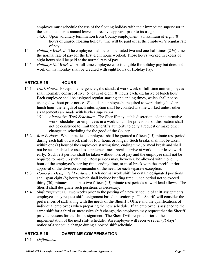employee must schedule the use of the floating holiday with their immediate supervisor in the same manner as annual leave and receive approval prior to its usage.

- 14.3.1 Upon voluntary termination from County employment, a maximum of eight (8) hours of unused floating holiday time will be paid off at the employee's regular rate of pay.
- 14.4 *Holidays Worked*. The employee shall be compensated two and one-half times (2 ½) times the normal rate of pay for the first eight hours worked. Those hours worked in excess of eight hours shall be paid at the normal rate of pay.
- 14.5 *Holidays Not Worked*. A full-time employee who is eligible for holiday pay but does not work on that holiday shall be credited with eight hours of Holiday Pay.

#### **ARTICLE 15 HOURS**

- 15.1 *Work Hours.* Except in emergencies, the standard work week of full-time unit employees shall normally consist of five (5) days of eight (8) hours each, exclusive of lunch hour. Each employee shall be assigned regular starting and ending times, which shall not be changed without prior notice. Should an employee be required to work during his/her lunch hour, the length of such interruption shall be counted as time worked unless other arrangements are made with his/her supervisor.
	- 15.1.1 *Alternative Work Schedules.* The Sheriff may, at his discretion, adopt alternative work schedules for employees in a work unit. The provisions of this section shall not be construed to limit the Sheriff's authority to deny a request or make other changes in scheduling for the good of the County.
- 15.2 *Rest Periods.* When practical, employees shall be granted a fifteen (15) minute rest period during each half of a work shift of four hours or longer. Such breaks shall not be taken within one (1) hour of the employees starting time, ending time, or meal break and shall not be accumulated or used to supplement meal breaks, arrive at work late or leave work early. Such rest periods shall be taken without loss of pay and the employee shall not be required to make up such time. Rest periods may, however, be allowed within one (1) hour of the employee's starting time, ending time, or meal break with the specific prior approval of the division commander of the need for each separate exception.
- 15.3 *Hours for Designated Positions*. Each normal work shift for certain designated positions shall span eight (8) hours which shall include briefing time, lunch period not to exceed thirty (30) minutes, and up to two fifteen (15) minute rest periods as workload allows. The Sheriff shall designate such positions as necessary.
- 15.4 *Shift Preferences*. Two weeks prior to the posting of a new schedule of shift assignments, employees may request shift assignment based on seniority. The Sheriff will consider the preferences of staff along with the needs of the Sheriff's Office and the qualifications of individual employees when preparing the new schedule. If an employee is assigned to the same shift for a third or successive shift change, the employee may request that the Sheriff provide reasons for the shift assignment. The Sheriff will respond prior to the implementation of the next shift schedule. An employee will receive seven (7) days' notice of a schedule change during a posted shift schedule.

#### **ARTICLE 16 OVERTIME COMPENSATION**

16.1 *Definitions:*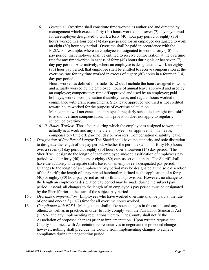16.1.1 *Overtime:* Overtime shall constitute time worked as authorized and directed by management which exceeds forty (40) hours worked in a seven (7) day pay period for an employee designated to work a forty (40) hour pay period or eighty (80) hours worked in a fourteen (14) day pay period for an employee designated to work an eight (80) hour pay period. Overtime shall be paid in accordance with the FLSA. For example, where an employee is designated to work a forty (40) hour pay period, that employee shall be entitled to receive compensation at the overtime rate for any time worked in excess of forty (40) hours during his or her seven (7) day pay period. Alternatively, where an employee is designated to work an eighty (80) hour pay period, that employee shall be entitled to receive compensation at the overtime rate for any time worked in excess of eighty (80) hours in a fourteen (14) day pay period.

Hours worked as defined in Article 16.1.2 shall include the hours assigned to work and actually worked by the employee; hours of annual leave approved and used by an employee; compensatory time off approved and used by an employee; paid holidays; workers compensation disability leave; and regular hours worked in compliance with grant requirements. Sick leave approved and used is not credited toward hours worked for the purpose of overtime calculation. Management will not cancel an employee's regularly scheduled straight time shift to avoid overtime compensation. This provision does not apply to regularly

- scheduled overtime. 16.1.2 *Hours Worked*: Those hours during which the employee is assigned to work and actually is at work and any time the employee is on approved annual leave, compensatory time off, paid holiday or Workers' Compensation disability leave.
- 16.2 *Designation of Pay Period Length*: The Sheriff shall have the authority and sole discretion to designate the length of the pay period; whether the period extends for forty (40) hours over a seven (7) day period or eighty (80) hours over a fourteen (14) day period. The Sheriff will designate the length of each employee and/or classification of employees pay period; whether forty (40) hours or eighty (80) ours as set out herein. The Sheriff shall have the authority to designate shifts based on an employee's designated pay period. Changes to the length of an employee's pay period may be designated at the sole discretion of the Sheriff; the length of a pay period hereinafter defined as the application of a forty (40) or eighty (80) hour pay period as set forth in this provision. However, no change to the length an employee's designated pay period may be made during the subject pay period; instead, all changes to the length of an employee's pay period must be designated by the Sheriff prior to the start of the subject pay period.
- 16.3 *Overtime Compensation.* Employees who have worked overtime shall be paid at the rate of one and one-half (1 1/2) time for all overtime hours worked.
- 16.4 *Compliance with FLSA.* Management shall make such changes in this article and any others, as well as in practice, in order to fully comply with the Fair Labor Standards Act (FLSA) and any implementing regulations thereto. The County shall notify the Association of proposed changes prior to implementation. Upon written request, the County shall meet with Association representatives to negotiate the proposed changes, however, nothing shall preclude the County from implementing changes to achieve compliance during the negotiating period.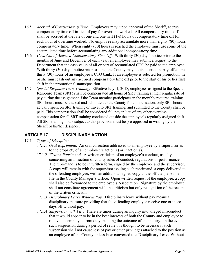- 16.5 *Accrual of Compensatory Time.* Employees may, upon approval of the Sheriff, accrue compensatory time off in-lieu of pay for overtime worked. All compensatory time off shall be accrued at the rate of one and one half  $(1\frac{1}{2})$  hours of compensatory time off for each hour of overtime worked. No employee may accumulate more than eighty (80) hours compensatory time. When eighty (80) hours is reached the employee must use some of the accumulated time before accumulating any additional compensatory time.
- 16.6 *Cash Out of Accrued Compensatory Time Off*. With thirty (30) days' notice prior to the months of June and December of each year, an employee may submit a request to the Department that the cash value of all or part of accumulated CTO be paid to the employee. With thirty (30) days' notice prior to June, the County may, at its discretion, pay off all but thirty (30) hours of an employee's CTO bank. If an employee is selected for promotion, he or she must cash out any accrued compensatory time off prior to the start of his or her first shift in the promotional status/position.
- 16.7 *Special Response Team Training.* Effective July, 1, 2018, employees assigned to the Special Response Team (SRT) shall be compensated all hours of SRT training at their regular rate of pay during the assignment if the Team member participates in the monthly required training. SRT hours must be tracked and submitted to the County for compensation, only SRT hours actually spent on SRT training or travel to SRT training, and submitted to the County shall be paid. This compensation shall be considered full pay in lieu of any other overtime compensation for all SRT training conducted outside the employee's regularly assigned shift. All SRT training hours subject to this provision must be pre-approved in writing by the Sheriff or his/her designee.

#### **ARTICLE 17 DISCIPLINARY ACTION**

- 17.1 *Types of Discipline.*
	- 17.1.1 *Oral Reprimand.* An oral correction addressed to an employee by a supervisor as to the propriety of an employee's action(s) or inaction(s).
	- 17.1.2 *Written Reprimand.* A written criticism of an employee's conduct, usually concerning an infraction of county rules of conduct, regulations or performance. The reprimand is to be in written form, signed by the employee and the supervisor. A copy will remain with the supervisor issuing such reprimand, a copy delivered to the offending employee, with an additional signed copy to the official personnel file in the County Manager's Office. Upon written request of the employee, a copy shall also be forwarded to the employee's Association. Signature by the employee shall not constitute agreement with the criticism but only recognition of the receipt of the written criticism.
	- 17.1.3 *Disciplinary Leave Without Pay.* Disciplinary leave without pay means a disciplinary measure providing that the offending employee receive one or more days off without pay.
	- 17.1.4 *Suspension with Pay.* There are times during an inquiry into alleged misconduct that it would appear to be in the best interests of both the County and employee to relieve the employee from duty, pending the outcome of the inquiry. In the event such suspension during a period of review is thought to be necessary, such suspension shall not cause loss of pay or other privileges attached to the position as an employee of the County unless later converted to a Disciplinary Leave Without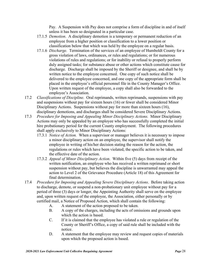Pay. A Suspension with Pay does not comprise a form of discipline in and of itself unless it has been so designated in a particular case.

- 17.1.5 *Demotion*. A disciplinary demotion is a temporary or permanent reduction of an employee from a higher position or classification to a lower position or classification below that which was held by the employee on a regular basis.
- 17.1.6 *Discharge.* Termination of the services of an employee of Humboldt County for a gross violation of laws, ordinances, or rules and regulations; or for numerous violations of rules and regulations; or for inability or refusal to properly perform duly assigned tasks; for substance abuse or other actions which constitute cause for discharge. Discharge shall be imposed by the Sheriff or designee, and shall be by written notice to the employee concerned. One copy of such notice shall be delivered to the employee concerned, and one copy of the appropriate form shall be placed in the employee's official personnel file in the County Manager's Office. Upon written request of the employee, a copy shall also be forwarded to the employee's Association.
- 17.2 *Classifications of Discipline.* Oral reprimands, written reprimands, suspensions with pay and suspensions without pay for sixteen hours (16) or fewer shall be considered Minor Disciplinary Actions. Suspensions without pay for more than sixteen hours (16), disciplinary demotions, and discharges shall be considered Severe Disciplinary Actions*.*
- 17.3 *Procedure for Imposing and Appealing Minor Disciplinary Actions.* Minor Disciplinary Actions may only be appealed by an employee who has successfully completed the initial hire probationary period for the current County employment. The following procedures shall apply exclusively to Minor Disciplinary Actions:
	- 17.3.1 *Notice of Action.* When a supervisor or manager believes it is necessary to impose a minor disciplinary action on an employee, the supervisor shall notify the employee in writing of his/her decision stating the reason for the action, the regulations or rules which have been violated, the specific action to be taken, and the effective date of the action.
	- 17.3.2 *Appeal of Minor Disciplinary Action.* Within five (5) days from receipt of the written notification, an employee who has received a written reprimand or short suspension without pay, but believes the discipline is unwarranted may appeal the action to Level 2 of the Grievance Procedure (Article 18) of this Agreement for final determination.
- 17.4 *Procedure for Imposing and Appealing Severe Disciplinary Actions*. Before taking action to discharge, demote, or suspend a non-probationary unit employee without pay for a period of three (3) days or longer, the Appointing Authority shall serve on the employee and, upon written request of the employee, the Association, either personally or by certified mail, a Notice of Proposed Action, which shall contain the following:
	- A. A statement of the action proposed to be taken.
	- B. A copy of the charges, including the acts of omissions and grounds upon which the action is based.
	- C. If it is claimed that the employee has violated a rule or regulation of the County or Sheriff's Office, a copy of said rule shall be included with the notice.
	- D. A statement that the employee may review and request copies of materials upon which the proposed action is based.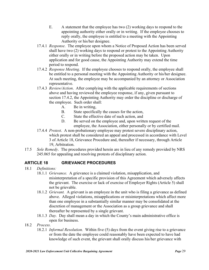- E. A statement that the employee has two (2) working days to respond to the appointing authority either orally or in writing. If the employee chooses to reply orally, the employee is entitled to a meeting with the Appointing Authority or his/her designee.
- 17.4.1 *Response*. The employee upon whom a Notice of Proposed Action has been served shall have two (2) working days to respond or protest to the Appointing Authority either orally or in writing before the proposed action may be taken. Upon application and for good cause, the Appointing Authority may extend the time period to respond.
- 17.4.2 *Response Meeting*. If the employee chooses to respond orally, the employee shall be entitled to a personal meeting with the Appointing Authority or his/her designee. At such meeting, the employee may be accompanied by an attorney or Association representative.
- 17.4.3 *Review/Action*. After complying with the applicable requirements of sections above and having reviewed the employee response, if any, given pursuant to section 17.4.2, the Appointing Authority may order the discipline or discharge of the employee. Such order shall:
	- A. Be in writing,
	- B. State specifically the causes for the action,
	- C. State the effective date of such action, and
	- D. Be served on the employee and, upon written request of the employee, the Association, either personally or by certified mail.
- 17.4.4 *Protest*. A non-probationary employee may protest severe disciplinary action, which protest shall be considered an appeal and processed in accordance with Level 3 of Article 18, Grievance Procedure and, thereafter if necessary, through Article 19, Arbitration.
- 17.5 *Sole Remedy*. The procedures provided herein are in lieu of any remedy provided by NRS 245.065 for appealing and resolving protests of disciplinary action.

#### **ARTICLE 18 GRIEVANCE PROCEDURES**

- 18.1 *Definitions:*
	- 18.1.1 *Grievance.* A grievance is a claimed violation, misapplication, and misinterpretation of a specific provision of this Agreement which adversely affects the grievant. The exercise or lack of exercise of Employer Rights (Article 5) shall not be grievable.
	- 18.1.2 *Grievant.* A grievant is an employee in the unit who is filing a grievance as defined above. Alleged violations, misapplications or misinterpretations which affect more than one employee in a substantially similar manner may be consolidated at the discretion of management or the Association as a group grievance and shall thereafter be represented by a single grievant.
	- 18.1.3 *Day.* Day shall mean a day in which the County's main administrative office is open for business.
- 18.2 *Process.*
	- 18.2.1 *Informal Resolution.* Within five (5) days from the event giving rise to a grievance or from the date the employee could reasonably have been expected to have had knowledge of such event, the grievant shall orally discuss his/her grievance with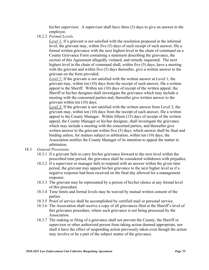his/her supervisor. A supervisor shall have three (3) days to give an answer to the employee.

18.2.2 *Formal Levels.* 

*Level 1:* If a grievant is not satisfied with the resolution proposed at the informal level, the grievant may, within five (5) days of such receipt of such answer, file a formal written grievance with the next highest level in the chain of command on a County Grievance Form containing a statement describing the grievance, the section of this Agreement allegedly violated, and remedy requested. The next highest level in the chain of command shall, within five (5) days, have a meeting with the grievant and within five (5) days thereafter, give a written answer to the grievant on the form provided.

*Level 2:* If the grievant is not satisfied with the written answer at Level 1, the grievant may, within ten (10) days from the receipt of such answer, file a written appeal to the Sheriff. Within ten (10) days of receipt of the written appeal, the Sheriff or his/her designee shall investigate the grievance which may include a meeting with the concerned parties and, thereafter give written answer to the grievant within ten (10) days.

*Level 3:* If the grievant is not satisfied with the written answer from Level 2, the grievant may, within ten (10) days from the receipt of such answer, file a written appeal to the County Manager. Within fifteen (15) days of receipt of the written appeal, the County Manager or his/her designee, shall investigate the grievance which may include a meeting with the concerned parties, and thereafter give written answer to the grievant within five (5) days, which answer shall be final and binding unless, for matters subject to arbitration, within ten (10) days, the Association notifies the County Manager of its intention to appeal the matter to arbitration.

- 18.3 *General Provisions.*
	- 18.3.1 If a grievant fails to carry his/her grievance forward to the next level within the prescribed time period, the grievance shall be considered withdrawn with prejudice.
	- 18.3.2 If a supervisor or manager fails to respond with an answer within the given time period, the grievant may appeal his/her grievance to the next higher level as if a negative response had been received on the final day allowed for a management response.
	- 18.3.3 The grievant may be represented by a person of his/her choice at any formal level of this procedure.
	- 18.3.4 Time limits and formal levels may be waived by mutual written consent of the parties.
	- 18.3.5 Proof of service shall be accomplished by certified mail or personal service.
	- 18.3.6 The Association shall receive a copy of all grievances filed at the Sheriff's level of this grievance procedure, where such grievance is not being processed by the Association.
	- 18.3.7 The making or filing of a grievance shall not prevent the County, the Sheriff or supervisor or other authorized person from taking action deemed appropriate, nor shall it have the effect of suspending action previously taken even though the action may involve or be a part of the subject matter of the grievance.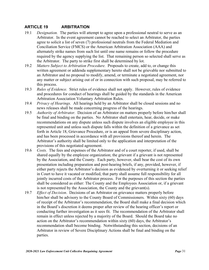#### **ARTICLE 19 ARBITRATION**

- 19.1 *Designation.* The parties will attempt to agree upon a professional neutral to serve as an Arbitrator. In the event agreement cannot be reached to select an Arbitrator, the parties agree to solicit a list of seven (7) professional neutrals from the Federal Mediation and Conciliation Service (FMCS) or the American Arbitration Association (AAA) and alternately strike names from such list until one name remains or follow the procedure required by the agency supplying the list. That remaining person so selected shall serve as the Arbitrator. The party to strike first shall be determined by lot.
- 19.2 *Matters Subject to Arbitration Procedure.* Proposals to create, add to, or change this written agreement or addenda supplementary hereto shall not be grievable nor submitted to an Arbitrator and no proposal to modify, amend, or terminate a negotiated agreement, nor any matter or subject arising out of or in connection with such proposal, may be referred to this process.
- 19.3 *Rules of Evidence.* Strict rules of evidence shall not apply. However, rules of evidence and procedures for conduct of hearings shall be guided by the standards in the American Arbitration Association Voluntary Arbitration Rules.
- 19.4 *Privacy of Hearings.* All hearings held by an Arbitrator shall be closed sessions and no news releases shall be made concerning progress of the hearings.
- 19.5 *Authority of Arbitrator.* Decision of an Arbitrator on matters properly before him/her shall be final and binding on the parties. No Arbitrator shall entertain, hear, decide, or make recommendations on any dispute unless such dispute involves an eligible employee in this represented unit and unless such dispute falls within the definition of a grievance as set forth in Article 18, Grievance Procedure, or is an appeal from severe disciplinary action, and has been processed in accordance with all provisions thereof and herein. The Arbitrator's authority shall be limited only to the application and interpretation of the provisions of this negotiated agreement.
- 19.6 *Costs.* The fees and expenses of the Arbitrator and of a court reporter, if used, shall be shared equally by the employee organization; the grievant if a grievant is not represented by the Association, and the County. Each party, however, shall bear the cost of its own presentation including preparation and post-hearing briefs, if any, provided, however, if either party rejects the Arbitrator's decision as evidenced by overturning it or seeking relief in Court to have it vacated or modified, that party shall assume full responsibility for all jointly incurred costs of the Arbitrator process. For the purposes of this section the parties shall be considered as either: The County and the Employees Association or, if a grievant is not represented by the Association, the County and the grievant(s).
- 19.7 *Effect of Decision*. Decisions of an Arbitrator on grievance matters properly before him/her shall be advisory to the County Board of Commissioners. Within sixty (60) days of receipt of the Arbitrator's recommendation, the Board shall make a final decision which in the Board's discretion it deems proper after review of the hearing officer's report or conducting further investigation as it sees fit. The recommendation of the Arbitrator shall remain in effect unless rejected by a majority of the Board. Should the Board take no action on the Arbitrator's recommendation within sixty (60) days, the Arbitrator's recommendation shall become binding. Notwithstanding this section, decisions of an Arbitrator in review of Severe Disciplinary Actions shall be final and binding on the parties.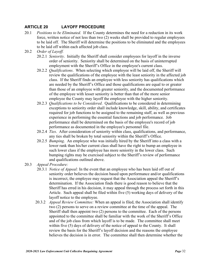#### **ARTICLE 20 LAYOFF PROCEDURE**

- 20.1 *Positions to be Eliminated.* If the County determines the need for a reduction in its work force, written notice of not less than two (2) weeks shall be provided to regular employees to be laid off. The Sheriff will determine the positions to be eliminated and the employees to be laid off within each affected job class.
- 20.2 *Order of Layoff.*
	- 20.2.1 *Seniority*. Initially the Sheriff shall consider employees for layoff in the inverse order of seniority. Seniority shall be determined on the basis of uninterrupted employment with the Sheriff's Office in the employee's current class.
	- 20.2.2 *Qualifications*. When selecting which employee will be laid off, the Sheriff will review the qualifications of the employee with the least seniority in the affected job class. If the Sheriff finds an employee with less seniority has qualifications which are needed by the Sheriff's Office and those qualifications are equal to or greater than those of an employee with greater seniority, and the documented performance of the employee with lesser seniority is better than that of the more senior employee the County may layoff the employee with the higher seniority.
	- 20.2.3 *Qualifications to be Considered*. Qualifications to be considered in determining exceptions to seniority order shall include knowledge, skill, ability, and certificates required for job functions to be assigned to the remaining staff, as well as previous experience in performing the essential functions and job performance. Job performance shall be determined on the basis of the employee's record of job performance as documented in the employee's personnel file.
	- 20.2.4 *Ties*. After consideration of seniority within class, qualifications, and performance, any ties shall be broken by total seniority within the Sheriff's Office.
	- 20.2.5 *Bumping*. An employee who was initially hired by the Sheriff into a class with a lower rank than his/her current class shall have the right to bump an employee in such lower class if the employee has more seniority in the lower class. Such bumping rights may be exercised subject to the Sheriff's review of performance and qualifications outlined above.
- 20.3 *Appeal Procedure:*
	- 20.3.1 *Notice of Appeal:* In the event that an employee who has been laid off out of seniority order believes the decision based upon performance and/or qualifications is incorrect, the employee may request that the Association appeal the Sheriff's determination. If the Association finds there is good reason to believe that the Sheriff has erred in his decision, it may appeal through the process set forth in this Article. Such appeal shall be filed within five (5) working days of delivery of the layoff notice to the employee.
	- 20.3.2 *Appeal Review Committee:* When an appeal is filed, the Association shall identify two (2) persons to serve on a review committee at the time of the appeal. The Sheriff shall then appoint two (2) persons to the committee. Each of the persons appointed to the committee shall be familiar with the work of the Sheriff's Office and of the job class from which layoff is to be made. The committee shall meet within five (5) days of delivery of the notice of appeal to the County. It shall review the basis for the Sheriff's layoff decision and the reasons the employee believes the decision is in error. The committee shall then determine whether the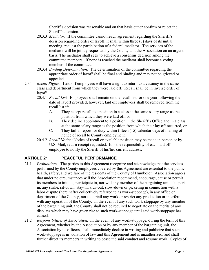Sheriff's decision was reasonable and on that basis either confirm or reject the Sheriff's decision.

- 20.3.3 *Mediator.* If the committee cannot reach agreement regarding the Sheriff's decision regarding order of layoff, it shall within three (3) days of its initial meeting, request the participation of a federal mediator. The services of the mediator will be jointly requested by the County and the Association on an urgent basis. The mediator shall seek to achieve a consensus decision among the committee members. If none is reached the mediator shall become a voting member of the committee.
- 20.3.4 *Binding Determination.* The determination of the committee regarding the appropriate order of layoff shall be final and binding and may not be grieved or appealed.
- 20.4*. Recall Rights.* Laid off employees will have a right to return to a vacancy in the same class and department from which they were laid off. Recall shall be in inverse order of layoff.
	- 20.4.1 *Recall List.* Employees shall remain on the recall list for one year following the date of layoff provided, however, laid off employees shall be removed from the recall list if:
		- A. They accept recall to a position in a class at the same salary range as the position from which they were laid off, or
		- B. They decline appointment to a position in the Sheriff's Office and in a class at the same salary range as the position from which their lay off occurred, or
		- C. They fail to report for duty within fifteen (15) calendar days of mailing of notice of recall to County employment.
	- 20.4.2 *Recall Notice:* Notice of recall or available position may be made in person or by U.S. Mail, return receipt requested. It is the responsibility of each laid off employee to notify the Sheriff of his/her current address.

#### **ARTICLE 21 PEACEFUL PERFORMANCE**

- 21.1 *Prohibitions.* The parties to this Agreement recognize and acknowledge that the services performed by the County employees covered by this Agreement are essential to the public health, safety, and welfare of the residents of the County of Humboldt. Association agrees that under no circumstances will the Association recommend, encourage, cause or permit its members to initiate, participate in, nor will any member of the bargaining unit take part in, any strike, sit-down, stay-in, sick-out, slow-down or picketing in connection with a labor dispute (hereinafter collectively referred to as work-stoppage), in any office or department of the County, nor to curtail any work or restrict any production or interfere with any operation of the County. In the event of any such work-stoppage by any member of the bargaining unit, the County shall not be required to negotiate on the merits of any disputes which may have given rise to such work-stoppage until said work-stoppage has ceased.
- 21.2 *Responsibilities of Association.* In the event of any work-stoppage, during the term of this Agreement, whether by the Association or by any member of the bargaining unit, the Association by its officers, shall immediately declare in writing and publicize that such work-stoppage is in violation of law and this Agreement and is unauthorized, and shall further direct its members in writing to cease the said conduct and resume work. Copies of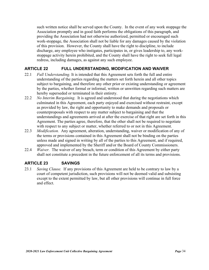such written notice shall be served upon the County. In the event of any work stoppage the Association promptly and in good faith performs the obligations of this paragraph, and providing the Association had not otherwise authorized, permitted or encouraged such work-stoppage, the Association shall not be liable for any damages caused by the violation of this provision. However, the County shall have the right to discipline, to include discharge, any employee who instigates, participates in, or gives leadership to, any workstoppage activity herein prohibited, and the County shall have the right to seek full legal redress, including damages, as against any such employee.

#### **ARTICLE 22 FULL UNDERSTANDING, MODIFICATION AND WAIVER**

- 22.1 *Full Understanding.* It is intended that this Agreement sets forth the full and entire understanding of the parties regarding the matters set forth herein and all other topics subject to bargaining, and therefore any other prior or existing understanding or agreement by the parties, whether formal or informal, written or unwritten regarding such matters are hereby superseded or terminated in their entirety.
- 22.2 *No Interim Bargaining*. It is agreed and understood that during the negotiations which culminated in this Agreement, each party enjoyed and exercised without restraint, except as provided by law, the right and opportunity to make demands and proposals or counterproposals with respect to any matter subject to bargaining and that the understandings and agreements arrived at after the exercise of that right are set forth in this Agreement. The parties agree, therefore, that the other shall not be required to negotiate with respect to any subject or matter, whether referred to or not in this Agreement.
- 22.3 *Modification.* Any agreement, alteration, understanding, waiver or modification of any of the terms or provisions contained in this Agreement shall not be binding on the parties unless made and signed in writing by all of the parties to this Agreement, and if required, approved and implemented by the Sheriff and/or the Board of County Commissioners.
- 22.4 *Waiver.* The waiver of any breach, term or condition of this Agreement by either party shall not constitute a precedent in the future enforcement of all its terms and provisions.

#### **ARTICLE 23 SAVINGS**

23.1 *Saving Clause.* If any provisions of this Agreement are held to be contrary to law by a court of competent jurisdiction, such provisions will not be deemed valid and subsisting except to the extent permitted by law, but all other provisions will continue in full force and effect.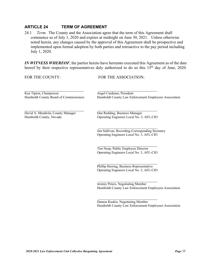#### **ARTICLE 24 TERM OF AGREEMENT**

24.1 *Term.* The County and the Association agree that the term of this Agreement shall commence as of July 1, 2020 and expires at midnight on June 30, 2021. Unless otherwise noted herein, any changes caused by the approval of this Agreement shall be prospective and implemented upon formal adoption by both parties and retroactive to the pay period including July 1, 2020.

*IN WITNESS WHEREOF*, the parties hereto have hereunto executed this Agreement as of the date hereof by their respective representatives duly authorized to do so this  $15<sup>th</sup>$  day of June, 2020.

FOR THE COUNTY: FOR THE ASSOCIATION:

Ken Tipton, Chairperson Angel Cardenas, President

David A. Mendiola, County Manager Dan Redding, Business Manager

Humboldt County Board of Commissioners Humboldt County Law Enforcement Employees Association

Humboldt County, Nevada Operating Engineers Local No. 3, AFL-CIO

 Jim Sullivan, Recording-Corresponding Secretary Operating Engineers Local No. 3, AFL-CIO

 Tim Neep, Public Employee Director Operating Engineers Local No. 3, AFL-CIO

 Phillip Herring, Business Representative Operating Engineers Local No. 3, AFL-CIO

 Jeremy Peters, Negotiating Member Humboldt County Law Enforcement Employees Association

 Damon Kuskie, Negotiating Member Humboldt County Law Enforcement Employees Association